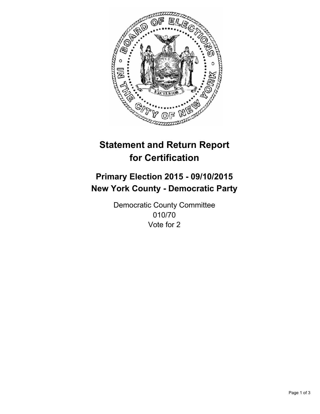

# **Statement and Return Report for Certification**

## **Primary Election 2015 - 09/10/2015 New York County - Democratic Party**

Democratic County Committee 010/70 Vote for 2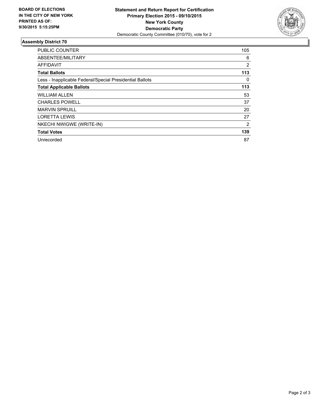

#### **Assembly District 70**

| <b>PUBLIC COUNTER</b>                                    | 105            |
|----------------------------------------------------------|----------------|
| ABSENTEE/MILITARY                                        | 6              |
| <b>AFFIDAVIT</b>                                         | 2              |
| <b>Total Ballots</b>                                     | 113            |
| Less - Inapplicable Federal/Special Presidential Ballots | 0              |
| <b>Total Applicable Ballots</b>                          | 113            |
| <b>WILLIAM ALLEN</b>                                     | 53             |
| <b>CHARLES POWELL</b>                                    | 37             |
| <b>MARVIN SPRUILL</b>                                    | 20             |
| <b>LORETTA LEWIS</b>                                     | 27             |
| NKECHI NWIGWE (WRITE-IN)                                 | $\overline{2}$ |
| <b>Total Votes</b>                                       | 139            |
| Unrecorded                                               | 87             |